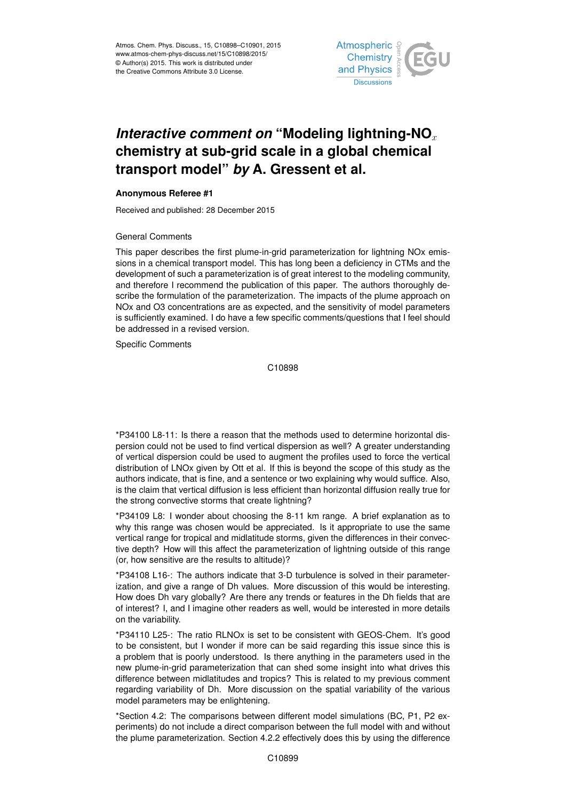

## *Interactive comment on* "Modeling lightning-NO<sub>x</sub> **chemistry at sub-grid scale in a global chemical transport model"** *by* **A. Gressent et al.**

## **Anonymous Referee #1**

Received and published: 28 December 2015

## General Comments

This paper describes the first plume-in-grid parameterization for lightning NOx emissions in a chemical transport model. This has long been a deficiency in CTMs and the development of such a parameterization is of great interest to the modeling community, and therefore I recommend the publication of this paper. The authors thoroughly describe the formulation of the parameterization. The impacts of the plume approach on NOx and O3 concentrations are as expected, and the sensitivity of model parameters is sufficiently examined. I do have a few specific comments/questions that I feel should be addressed in a revised version.

Specific Comments

C10898

\*P34100 L8-11: Is there a reason that the methods used to determine horizontal dispersion could not be used to find vertical dispersion as well? A greater understanding of vertical dispersion could be used to augment the profiles used to force the vertical distribution of LNOx given by Ott et al. If this is beyond the scope of this study as the authors indicate, that is fine, and a sentence or two explaining why would suffice. Also, is the claim that vertical diffusion is less efficient than horizontal diffusion really true for the strong convective storms that create lightning?

\*P34109 L8: I wonder about choosing the 8-11 km range. A brief explanation as to why this range was chosen would be appreciated. Is it appropriate to use the same vertical range for tropical and midlatitude storms, given the differences in their convective depth? How will this affect the parameterization of lightning outside of this range (or, how sensitive are the results to altitude)?

\*P34108 L16-: The authors indicate that 3-D turbulence is solved in their parameterization, and give a range of Dh values. More discussion of this would be interesting. How does Dh vary globally? Are there any trends or features in the Dh fields that are of interest? I, and I imagine other readers as well, would be interested in more details on the variability.

\*P34110 L25-: The ratio RLNOx is set to be consistent with GEOS-Chem. It's good to be consistent, but I wonder if more can be said regarding this issue since this is a problem that is poorly understood. Is there anything in the parameters used in the new plume-in-grid parameterization that can shed some insight into what drives this difference between midlatitudes and tropics? This is related to my previous comment regarding variability of Dh. More discussion on the spatial variability of the various model parameters may be enlightening.

\*Section 4.2: The comparisons between different model simulations (BC, P1, P2 experiments) do not include a direct comparison between the full model with and without the plume parameterization. Section 4.2.2 effectively does this by using the difference